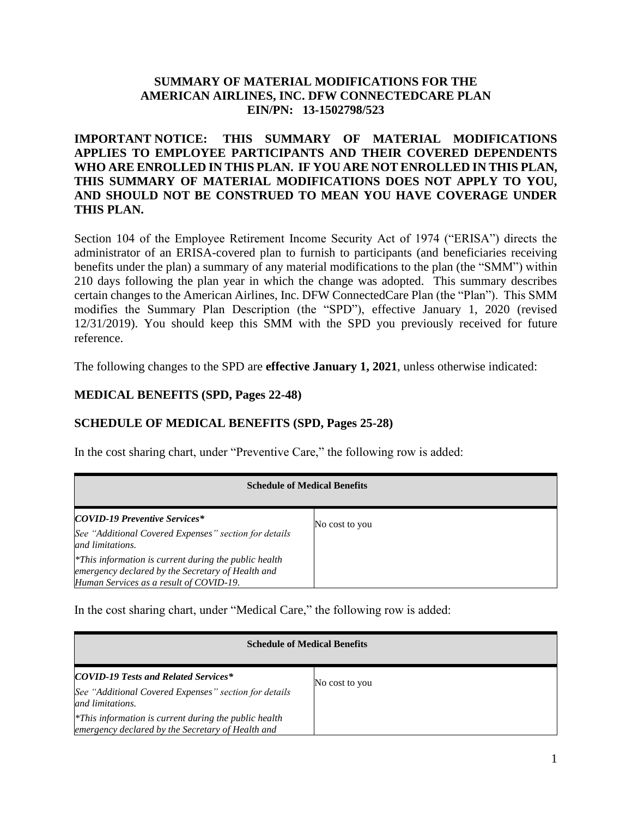#### **SUMMARY OF MATERIAL MODIFICATIONS FOR THE AMERICAN AIRLINES, INC. DFW CONNECTEDCARE PLAN EIN/PN: 13-1502798/523**

### **IMPORTANT NOTICE: THIS SUMMARY OF MATERIAL MODIFICATIONS APPLIES TO EMPLOYEE PARTICIPANTS AND THEIR COVERED DEPENDENTS WHO ARE ENROLLED IN THIS PLAN. IF YOU ARE NOT ENROLLED IN THIS PLAN, THIS SUMMARY OF MATERIAL MODIFICATIONS DOES NOT APPLY TO YOU, AND SHOULD NOT BE CONSTRUED TO MEAN YOU HAVE COVERAGE UNDER THIS PLAN.**

Section 104 of the Employee Retirement Income Security Act of 1974 ("ERISA") directs the administrator of an ERISA-covered plan to furnish to participants (and beneficiaries receiving benefits under the plan) a summary of any material modifications to the plan (the "SMM") within 210 days following the plan year in which the change was adopted. This summary describes certain changes to the American Airlines, Inc. DFW ConnectedCare Plan (the "Plan"). This SMM modifies the Summary Plan Description (the "SPD"), effective January 1, 2020 (revised 12/31/2019). You should keep this SMM with the SPD you previously received for future reference.

The following changes to the SPD are **effective January 1, 2021**, unless otherwise indicated:

#### **MEDICAL BENEFITS (SPD, Pages 22-48)**

### **SCHEDULE OF MEDICAL BENEFITS (SPD, Pages 25-28)**

In the cost sharing chart, under "Preventive Care," the following row is added:

| <b>Schedule of Medical Benefits</b>                                                                                                                      |                |
|----------------------------------------------------------------------------------------------------------------------------------------------------------|----------------|
| <b>COVID-19 Preventive Services*</b><br>See "Additional Covered Expenses" section for details<br>and limitations.                                        | No cost to you |
| $*$ This information is current during the public health<br>emergency declared by the Secretary of Health and<br>Human Services as a result of COVID-19. |                |

In the cost sharing chart, under "Medical Care," the following row is added:

| <b>Schedule of Medical Benefits</b>                                                                                      |                |
|--------------------------------------------------------------------------------------------------------------------------|----------------|
| <b>COVID-19 Tests and Related Services*</b><br>See "Additional Covered Expenses" section for details<br>and limitations. | No cost to you |
| $*$ This information is current during the public health<br>emergency declared by the Secretary of Health and            |                |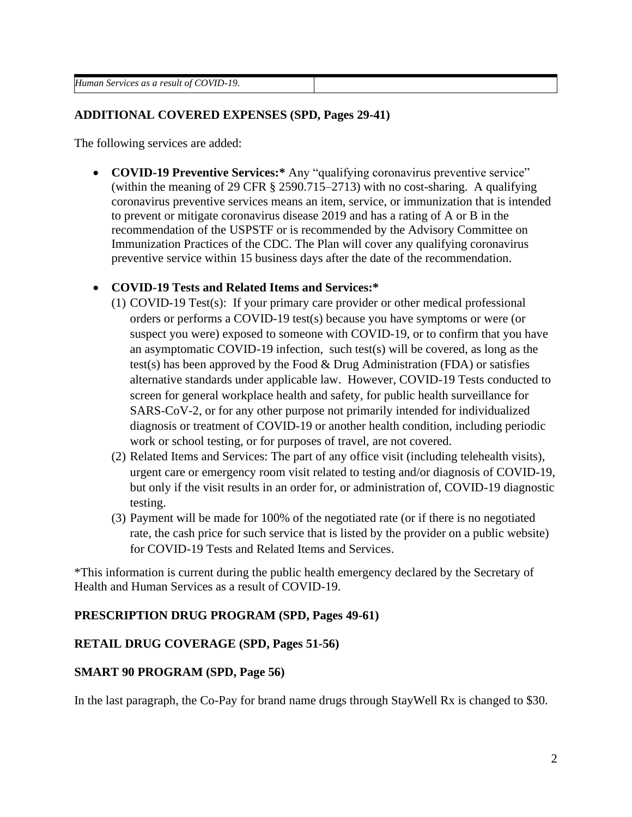*Human Services as a result of COVID-19.*

#### **ADDITIONAL COVERED EXPENSES (SPD, Pages 29-41)**

The following services are added:

• **COVID-19 Preventive Services:\*** Any "qualifying coronavirus preventive service" (within the meaning of 29 CFR § 2590.715–2713) with no cost-sharing. A qualifying coronavirus preventive services means an item, service, or immunization that is intended to prevent or mitigate coronavirus disease 2019 and has a rating of A or B in the recommendation of the USPSTF or is recommended by the Advisory Committee on Immunization Practices of the CDC. The Plan will cover any qualifying coronavirus preventive service within 15 business days after the date of the recommendation.

### • **COVID-19 Tests and Related Items and Services:\***

- (1) COVID-19 Test(s): If your primary care provider or other medical professional orders or performs a COVID-19 test(s) because you have symptoms or were (or suspect you were) exposed to someone with COVID-19, or to confirm that you have an asymptomatic COVID-19 infection, such test(s) will be covered, as long as the test(s) has been approved by the Food  $&$  Drug Administration (FDA) or satisfies alternative standards under applicable law. However, COVID-19 Tests conducted to screen for general workplace health and safety, for public health surveillance for SARS-CoV-2, or for any other purpose not primarily intended for individualized diagnosis or treatment of COVID-19 or another health condition, including periodic work or school testing, or for purposes of travel, are not covered.
- (2) Related Items and Services: The part of any office visit (including telehealth visits), urgent care or emergency room visit related to testing and/or diagnosis of COVID-19, but only if the visit results in an order for, or administration of, COVID-19 diagnostic testing.
- (3) Payment will be made for 100% of the negotiated rate (or if there is no negotiated rate, the cash price for such service that is listed by the provider on a public website) for COVID-19 Tests and Related Items and Services.

\*This information is current during the public health emergency declared by the Secretary of Health and Human Services as a result of COVID-19.

### **PRESCRIPTION DRUG PROGRAM (SPD, Pages 49-61)**

### **RETAIL DRUG COVERAGE (SPD, Pages 51-56)**

### **SMART 90 PROGRAM (SPD, Page 56)**

In the last paragraph, the Co-Pay for brand name drugs through StayWell Rx is changed to \$30.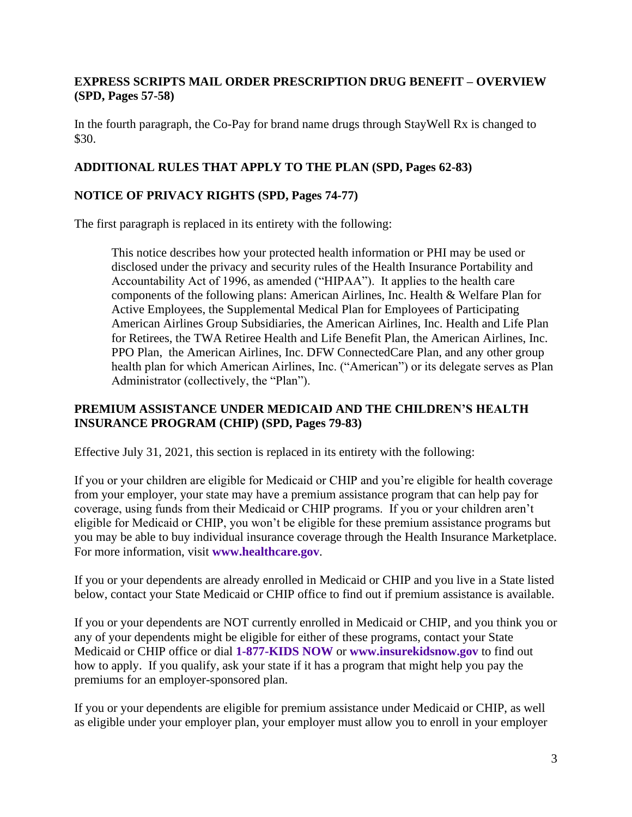## **EXPRESS SCRIPTS MAIL ORDER PRESCRIPTION DRUG BENEFIT – OVERVIEW (SPD, Pages 57-58)**

In the fourth paragraph, the Co-Pay for brand name drugs through StayWell Rx is changed to \$30.

# **ADDITIONAL RULES THAT APPLY TO THE PLAN (SPD, Pages 62-83)**

# **NOTICE OF PRIVACY RIGHTS (SPD, Pages 74-77)**

The first paragraph is replaced in its entirety with the following:

This notice describes how your protected health information or PHI may be used or disclosed under the privacy and security rules of the Health Insurance Portability and Accountability Act of 1996, as amended ("HIPAA"). It applies to the health care components of the following plans: American Airlines, Inc. Health & Welfare Plan for Active Employees, the Supplemental Medical Plan for Employees of Participating American Airlines Group Subsidiaries, the American Airlines, Inc. Health and Life Plan for Retirees, the TWA Retiree Health and Life Benefit Plan, the American Airlines, Inc. PPO Plan, the American Airlines, Inc. DFW ConnectedCare Plan, and any other group health plan for which American Airlines, Inc. ("American") or its delegate serves as Plan Administrator (collectively, the "Plan").

# **PREMIUM ASSISTANCE UNDER MEDICAID AND THE CHILDREN'S HEALTH INSURANCE PROGRAM (CHIP) (SPD, Pages 79-83)**

Effective July 31, 2021, this section is replaced in its entirety with the following:

If you or your children are eligible for Medicaid or CHIP and you're eligible for health coverage from your employer, your state may have a premium assistance program that can help pay for coverage, using funds from their Medicaid or CHIP programs. If you or your children aren't eligible for Medicaid or CHIP, you won't be eligible for these premium assistance programs but you may be able to buy individual insurance coverage through the Health Insurance Marketplace. For more information, visit **[www.healthcare.gov](http://www.healthcare.gov/)**.

If you or your dependents are already enrolled in Medicaid or CHIP and you live in a State listed below, contact your State Medicaid or CHIP office to find out if premium assistance is available.

If you or your dependents are NOT currently enrolled in Medicaid or CHIP, and you think you or any of your dependents might be eligible for either of these programs, contact your State Medicaid or CHIP office or dial **1-877-KIDS NOW** or **[www.insurekidsnow.gov](http://www.insurekidsnow.gov/)** to find out how to apply. If you qualify, ask your state if it has a program that might help you pay the premiums for an employer-sponsored plan.

If you or your dependents are eligible for premium assistance under Medicaid or CHIP, as well as eligible under your employer plan, your employer must allow you to enroll in your employer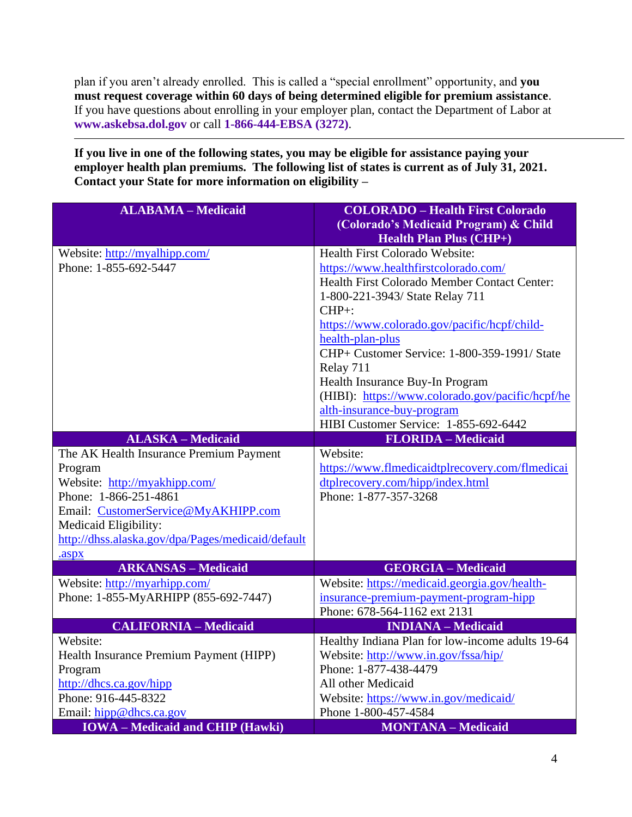plan if you aren't already enrolled. This is called a "special enrollment" opportunity, and **you must request coverage within 60 days of being determined eligible for premium assistance**. If you have questions about enrolling in your employer plan, contact the Department of Labor at **[www.askebsa.dol.gov](http://www.askebsa.dol.gov/)** or call **1-866-444-EBSA (3272)**.

### **If you live in one of the following states, you may be eligible for assistance paying your**  employer health plan premiums. The following list of states is current as of July 31, 2021. **Contact your State for more information on eligibility –**

| <b>ALABAMA - Medicaid</b>                          | <b>COLORADO - Health First Colorado</b><br>(Colorado's Medicaid Program) & Child<br><b>Health Plan Plus (CHP+)</b> |
|----------------------------------------------------|--------------------------------------------------------------------------------------------------------------------|
| Website: http://myalhipp.com/                      | Health First Colorado Website:                                                                                     |
| Phone: 1-855-692-5447                              | https://www.healthfirstcolorado.com/                                                                               |
|                                                    | Health First Colorado Member Contact Center:                                                                       |
|                                                    | 1-800-221-3943/ State Relay 711                                                                                    |
|                                                    | $CHP+$ :                                                                                                           |
|                                                    | https://www.colorado.gov/pacific/hcpf/child-                                                                       |
|                                                    | health-plan-plus                                                                                                   |
|                                                    | CHP+ Customer Service: 1-800-359-1991/ State                                                                       |
|                                                    | Relay 711                                                                                                          |
|                                                    | Health Insurance Buy-In Program                                                                                    |
|                                                    | (HIBI): https://www.colorado.gov/pacific/hcpf/he                                                                   |
|                                                    | alth-insurance-buy-program                                                                                         |
| <b>ALASKA - Medicaid</b>                           | HIBI Customer Service: 1-855-692-6442<br><b>FLORIDA</b> - Medicaid                                                 |
|                                                    | Website:                                                                                                           |
| The AK Health Insurance Premium Payment<br>Program | https://www.flmedicaidtplrecovery.com/flmedicai                                                                    |
| Website: http://myakhipp.com/                      | dtplrecovery.com/hipp/index.html                                                                                   |
| Phone: 1-866-251-4861                              | Phone: 1-877-357-3268                                                                                              |
| Email: CustomerService@MyAKHIPP.com                |                                                                                                                    |
| Medicaid Eligibility:                              |                                                                                                                    |
| http://dhss.alaska.gov/dpa/Pages/medicaid/default  |                                                                                                                    |
| .aspx                                              |                                                                                                                    |
| <b>ARKANSAS - Medicaid</b>                         | <b>GEORGIA - Medicaid</b>                                                                                          |
| Website: http://myarhipp.com/                      | Website: https://medicaid.georgia.gov/health-                                                                      |
| Phone: 1-855-MyARHIPP (855-692-7447)               | insurance-premium-payment-program-hipp                                                                             |
|                                                    | Phone: 678-564-1162 ext 2131                                                                                       |
| <b>CALIFORNIA - Medicaid</b>                       | <b>INDIANA</b> - Medicaid                                                                                          |
| Website:                                           | Healthy Indiana Plan for low-income adults 19-64                                                                   |
| Health Insurance Premium Payment (HIPP)            | Website: http://www.in.gov/fssa/hip/                                                                               |
| Program                                            | Phone: 1-877-438-4479                                                                                              |
| http://dhcs.ca.gov/hipp                            | All other Medicaid                                                                                                 |
| Phone: 916-445-8322                                | Website: https://www.in.gov/medicaid/                                                                              |
| Email: hipp@dhcs.ca.gov                            | Phone 1-800-457-4584                                                                                               |
| <b>IOWA</b> - Medicaid and CHIP (Hawki)            | <b>MONTANA</b> - Medicaid                                                                                          |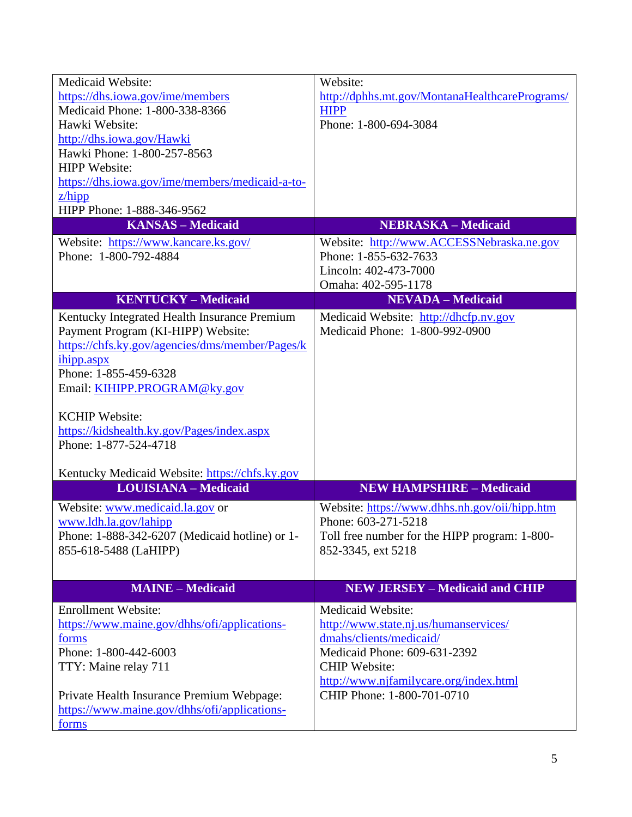| <b>Medicaid Website:</b>                              | Website:                                       |
|-------------------------------------------------------|------------------------------------------------|
| https://dhs.iowa.gov/ime/members                      | http://dphhs.mt.gov/MontanaHealthcarePrograms/ |
| Medicaid Phone: 1-800-338-8366                        | <b>HIPP</b>                                    |
| Hawki Website:                                        | Phone: 1-800-694-3084                          |
| http://dhs.iowa.gov/Hawki                             |                                                |
| Hawki Phone: 1-800-257-8563                           |                                                |
| <b>HIPP</b> Website:                                  |                                                |
| https://dhs.iowa.gov/ime/members/medicaid-a-to-       |                                                |
| $z$ /hipp                                             |                                                |
| HIPP Phone: 1-888-346-9562                            |                                                |
| <b>KANSAS - Medicaid</b>                              | <b>NEBRASKA - Medicaid</b>                     |
| Website: https://www.kancare.ks.gov/                  | Website: http://www.ACCESSNebraska.ne.gov      |
| Phone: 1-800-792-4884                                 | Phone: 1-855-632-7633                          |
|                                                       | Lincoln: 402-473-7000                          |
|                                                       | Omaha: 402-595-1178                            |
| <b>KENTUCKY-Medicaid</b>                              | <b>NEVADA - Medicaid</b>                       |
| Kentucky Integrated Health Insurance Premium          | Medicaid Website: http://dhcfp.nv.gov          |
| Payment Program (KI-HIPP) Website:                    | Medicaid Phone: 1-800-992-0900                 |
| https://chfs.ky.gov/agencies/dms/member/Pages/k       |                                                |
|                                                       |                                                |
| ihipp.aspx                                            |                                                |
| Phone: 1-855-459-6328                                 |                                                |
| Email: KIHIPP.PROGRAM@ky.gov                          |                                                |
| <b>KCHIP Website:</b>                                 |                                                |
|                                                       |                                                |
| https://kidshealth.ky.gov/Pages/index.aspx            |                                                |
| Phone: 1-877-524-4718                                 |                                                |
| Kentucky Medicaid Website: https://chfs.ky.gov        |                                                |
| <b>LOUISIANA - Medicaid</b>                           | <b>NEW HAMPSHIRE - Medicaid</b>                |
| Website: www.medicaid.la.gov or                       | Website: https://www.dhhs.nh.gov/oii/hipp.htm  |
| www.ldh.la.gov/lahipp                                 | Phone: 603-271-5218                            |
| Phone: 1-888-342-6207 (Medicaid hotline) or 1-        | Toll free number for the HIPP program: 1-800-  |
|                                                       | 852-3345, ext 5218                             |
| 855-618-5488 (LaHIPP)                                 |                                                |
|                                                       |                                                |
| <b>MAINE - Medicaid</b>                               | <b>NEW JERSEY - Medicaid and CHIP</b>          |
| <b>Enrollment Website:</b>                            | Medicaid Website:                              |
| https://www.maine.gov/dhhs/ofi/applications-          | http://www.state.nj.us/humanservices/          |
| forms                                                 | dmahs/clients/medicaid/                        |
| Phone: 1-800-442-6003                                 | Medicaid Phone: 609-631-2392                   |
| TTY: Maine relay 711                                  | <b>CHIP Website:</b>                           |
|                                                       | http://www.njfamilycare.org/index.html         |
| Private Health Insurance Premium Webpage:             |                                                |
|                                                       |                                                |
|                                                       | CHIP Phone: 1-800-701-0710                     |
| https://www.maine.gov/dhhs/ofi/applications-<br>forms |                                                |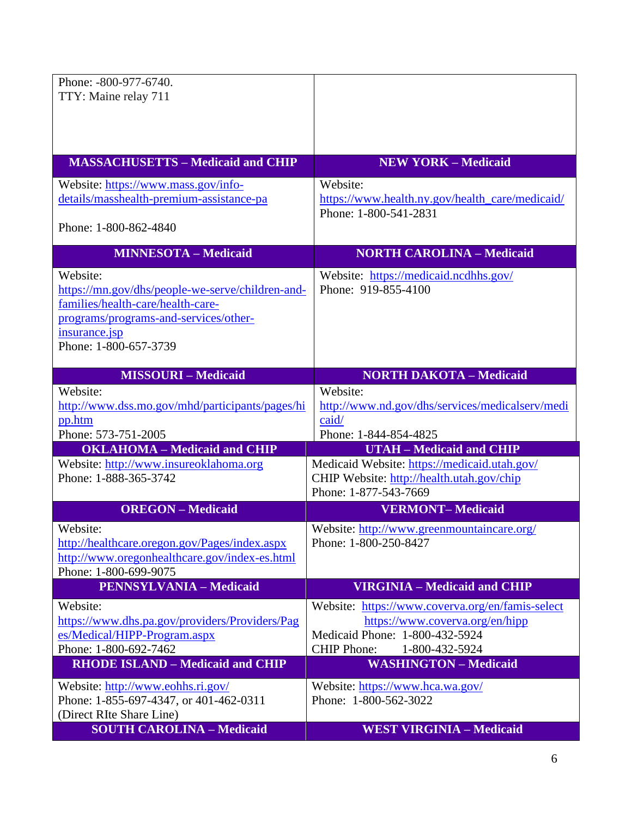| Phone: -800-977-6740.                                                                         |                                                                    |
|-----------------------------------------------------------------------------------------------|--------------------------------------------------------------------|
| TTY: Maine relay 711                                                                          |                                                                    |
|                                                                                               |                                                                    |
|                                                                                               |                                                                    |
|                                                                                               |                                                                    |
| <b>MASSACHUSETTS - Medicaid and CHIP</b>                                                      | <b>NEW YORK - Medicaid</b>                                         |
| Website: https://www.mass.gov/info-                                                           | Website:                                                           |
| details/masshealth-premium-assistance-pa                                                      | https://www.health.ny.gov/health_care/medicaid/                    |
|                                                                                               | Phone: 1-800-541-2831                                              |
| Phone: 1-800-862-4840                                                                         |                                                                    |
| <b>MINNESOTA - Medicaid</b>                                                                   | <b>NORTH CAROLINA - Medicaid</b>                                   |
| Website:                                                                                      | Website: https://medicaid.ncdhhs.gov/                              |
| https://mn.gov/dhs/people-we-serve/children-and-                                              | Phone: 919-855-4100                                                |
| families/health-care/health-care-                                                             |                                                                    |
| programs/programs-and-services/other-                                                         |                                                                    |
| insurance.jsp<br>Phone: 1-800-657-3739                                                        |                                                                    |
|                                                                                               |                                                                    |
| <b>MISSOURI-Medicaid</b>                                                                      | <b>NORTH DAKOTA - Medicaid</b>                                     |
| Website:                                                                                      | Website:                                                           |
| http://www.dss.mo.gov/mhd/participants/pages/hi                                               | http://www.nd.gov/dhs/services/medicalserv/medi                    |
| pp.htm                                                                                        | caid/                                                              |
| Phone: 573-751-2005                                                                           | Phone: 1-844-854-4825                                              |
| <b>OKLAHOMA</b> - Medicaid and CHIP                                                           | <b>UTAH - Medicaid and CHIP</b>                                    |
| Website: http://www.insureoklahoma.org                                                        | Medicaid Website: https://medicaid.utah.gov/                       |
| Phone: 1-888-365-3742                                                                         | CHIP Website: http://health.utah.gov/chip<br>Phone: 1-877-543-7669 |
| <b>OREGON</b> – Medicaid                                                                      | <b>VERMONT-Medicaid</b>                                            |
|                                                                                               |                                                                    |
| Website:                                                                                      | Website: http://www.greenmountaincare.org/                         |
| http://healthcare.orgon.gov/Pages/index.aspx<br>http://www.oregonhealthcare.gov/index-es.html | Phone: 1-800-250-8427                                              |
| Phone: 1-800-699-9075                                                                         |                                                                    |
| <b>PENNSYLVANIA - Medicaid</b>                                                                | <b>VIRGINIA - Medicaid and CHIP</b>                                |
| Website:                                                                                      | Website: https://www.coverva.org/en/famis-select                   |
| https://www.dhs.pa.gov/providers/Providers/Pag                                                | https://www.coverva.org/en/hipp                                    |
| es/Medical/HIPP-Program.aspx                                                                  | Medicaid Phone: 1-800-432-5924                                     |
| Phone: 1-800-692-7462                                                                         | <b>CHIP Phone:</b><br>1-800-432-5924                               |
| <b>RHODE ISLAND - Medicaid and CHIP</b>                                                       | <b>WASHINGTON - Medicaid</b>                                       |
| Website: http://www.eohhs.ri.gov/                                                             | Website: https://www.hca.wa.gov/                                   |
| Phone: 1-855-697-4347, or 401-462-0311                                                        | Phone: 1-800-562-3022                                              |
| (Direct RIte Share Line)                                                                      |                                                                    |
| <b>SOUTH CAROLINA - Medicaid</b>                                                              | <b>WEST VIRGINIA - Medicaid</b>                                    |